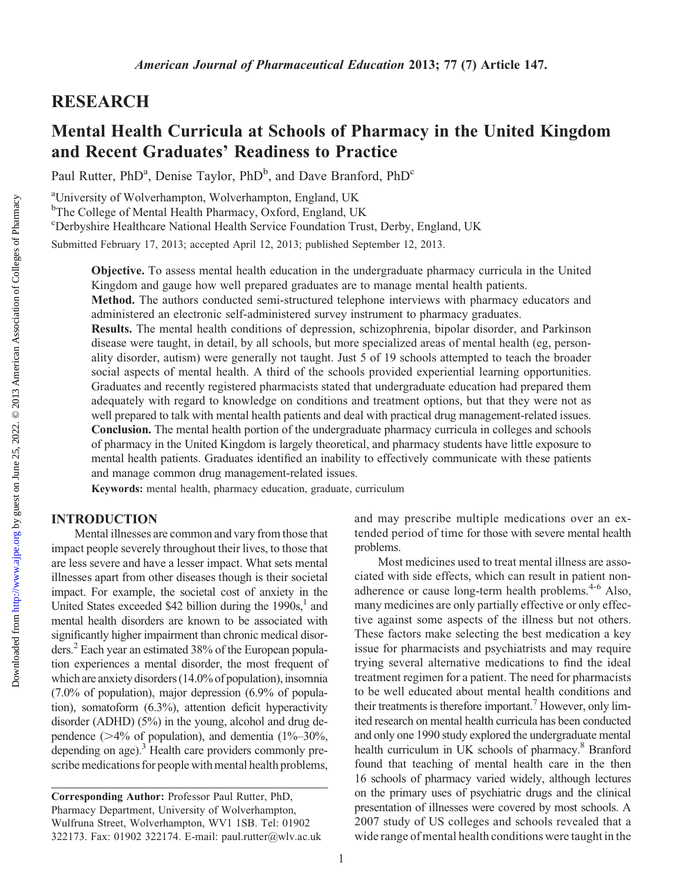# RESEARCH

# Mental Health Curricula at Schools of Pharmacy in the United Kingdom and Recent Graduates' Readiness to Practice

Paul Rutter, PhD<sup>a</sup>, Denise Taylor, PhD<sup>b</sup>, and Dave Branford, PhD<sup>c</sup>

<sup>a</sup>University of Wolverhampton, Wolverhampton, England, UK

<sup>b</sup>The College of Mental Health Pharmacy, Oxford, England, UK

c Derbyshire Healthcare National Health Service Foundation Trust, Derby, England, UK

Submitted February 17, 2013; accepted April 12, 2013; published September 12, 2013.

Objective. To assess mental health education in the undergraduate pharmacy curricula in the United Kingdom and gauge how well prepared graduates are to manage mental health patients.

Method. The authors conducted semi-structured telephone interviews with pharmacy educators and administered an electronic self-administered survey instrument to pharmacy graduates.

Results. The mental health conditions of depression, schizophrenia, bipolar disorder, and Parkinson disease were taught, in detail, by all schools, but more specialized areas of mental health (eg, personality disorder, autism) were generally not taught. Just 5 of 19 schools attempted to teach the broader social aspects of mental health. A third of the schools provided experiential learning opportunities. Graduates and recently registered pharmacists stated that undergraduate education had prepared them adequately with regard to knowledge on conditions and treatment options, but that they were not as well prepared to talk with mental health patients and deal with practical drug management-related issues. Conclusion. The mental health portion of the undergraduate pharmacy curricula in colleges and schools of pharmacy in the United Kingdom is largely theoretical, and pharmacy students have little exposure to mental health patients. Graduates identified an inability to effectively communicate with these patients and manage common drug management-related issues.

Keywords: mental health, pharmacy education, graduate, curriculum

### INTRODUCTION

Mental illnesses are common and vary from those that impact people severely throughout their lives, to those that are less severe and have a lesser impact. What sets mental illnesses apart from other diseases though is their societal impact. For example, the societal cost of anxiety in the United States exceeded \$42 billion during the  $1990s<sup>1</sup>$  and mental health disorders are known to be associated with significantly higher impairment than chronic medical disorders.2 Each year an estimated 38% of the European population experiences a mental disorder, the most frequent of which are anxiety disorders  $(14.0\%$  of population), insomnia (7.0% of population), major depression (6.9% of population), somatoform (6.3%), attention deficit hyperactivity disorder (ADHD) (5%) in the young, alcohol and drug dependence ( $>4\%$  of population), and dementia ( $1\%$ – $30\%$ , depending on age). $3$  Health care providers commonly prescribe medications for people with mental health problems,

and may prescribe multiple medications over an extended period of time for those with severe mental health problems.

Most medicines used to treat mental illness are associated with side effects, which can result in patient nonadherence or cause long-term health problems.<sup>4-6</sup> Also, many medicines are only partially effective or only effective against some aspects of the illness but not others. These factors make selecting the best medication a key issue for pharmacists and psychiatrists and may require trying several alternative medications to find the ideal treatment regimen for a patient. The need for pharmacists to be well educated about mental health conditions and their treatments is therefore important.<sup>7</sup> However, only limited research on mental health curricula has been conducted and only one 1990 study explored the undergraduate mental health curriculum in UK schools of pharmacy.<sup>8</sup> Branford found that teaching of mental health care in the then 16 schools of pharmacy varied widely, although lectures on the primary uses of psychiatric drugs and the clinical presentation of illnesses were covered by most schools. A 2007 study of US colleges and schools revealed that a wide range of mental health conditions were taught in the

Corresponding Author: Professor Paul Rutter, PhD, Pharmacy Department, University of Wolverhampton, Wulfruna Street, Wolverhampton, WV1 1SB. Tel: 01902 322173. Fax: 01902 322174. E-mail: paul.rutter@wlv.ac.uk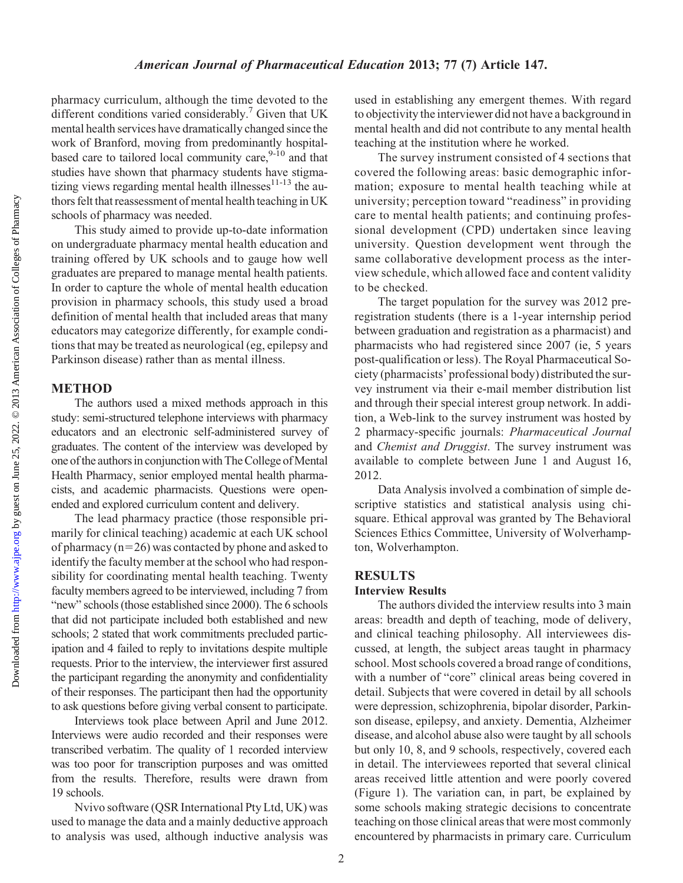pharmacy curriculum, although the time devoted to the different conditions varied considerably.<sup>7</sup> Given that UK mental health services have dramatically changed since the work of Branford, moving from predominantly hospitalbased care to tailored local community care, $9-10$  and that studies have shown that pharmacy students have stigmatizing views regarding mental health illnesses $11-13$  the authors felt that reassessment of mental health teaching in UK schools of pharmacy was needed.

This study aimed to provide up-to-date information on undergraduate pharmacy mental health education and training offered by UK schools and to gauge how well graduates are prepared to manage mental health patients. In order to capture the whole of mental health education provision in pharmacy schools, this study used a broad definition of mental health that included areas that many educators may categorize differently, for example conditions that may be treated as neurological (eg, epilepsy and Parkinson disease) rather than as mental illness.

## METHOD

The authors used a mixed methods approach in this study: semi-structured telephone interviews with pharmacy educators and an electronic self-administered survey of graduates. The content of the interview was developed by one of the authors in conjunction with The College of Mental Health Pharmacy, senior employed mental health pharmacists, and academic pharmacists. Questions were openended and explored curriculum content and delivery.

The lead pharmacy practice (those responsible primarily for clinical teaching) academic at each UK school of pharmacy  $(n=26)$  was contacted by phone and asked to identify the faculty member at the school who had responsibility for coordinating mental health teaching. Twenty faculty members agreed to be interviewed, including 7 from "new" schools (those established since 2000). The 6 schools that did not participate included both established and new schools; 2 stated that work commitments precluded participation and 4 failed to reply to invitations despite multiple requests. Prior to the interview, the interviewer first assured the participant regarding the anonymity and confidentiality of their responses. The participant then had the opportunity to ask questions before giving verbal consent to participate.

Interviews took place between April and June 2012. Interviews were audio recorded and their responses were transcribed verbatim. The quality of 1 recorded interview was too poor for transcription purposes and was omitted from the results. Therefore, results were drawn from 19 schools.

Nvivo software (QSR International Pty Ltd, UK) was used to manage the data and a mainly deductive approach to analysis was used, although inductive analysis was used in establishing any emergent themes. With regard to objectivity the interviewer did not have a background in mental health and did not contribute to any mental health teaching at the institution where he worked.

The survey instrument consisted of 4 sections that covered the following areas: basic demographic information; exposure to mental health teaching while at university; perception toward "readiness" in providing care to mental health patients; and continuing professional development (CPD) undertaken since leaving university. Question development went through the same collaborative development process as the interview schedule, which allowed face and content validity to be checked.

The target population for the survey was 2012 preregistration students (there is a 1-year internship period between graduation and registration as a pharmacist) and pharmacists who had registered since 2007 (ie, 5 years post-qualification or less). The Royal Pharmaceutical Society (pharmacists' professional body) distributed the survey instrument via their e-mail member distribution list and through their special interest group network. In addition, a Web-link to the survey instrument was hosted by 2 pharmacy-specific journals: Pharmaceutical Journal and Chemist and Druggist. The survey instrument was available to complete between June 1 and August 16, 2012.

Data Analysis involved a combination of simple descriptive statistics and statistical analysis using chisquare. Ethical approval was granted by The Behavioral Sciences Ethics Committee, University of Wolverhampton, Wolverhampton.

### **RESULTS**

#### Interview Results

The authors divided the interview results into 3 main areas: breadth and depth of teaching, mode of delivery, and clinical teaching philosophy. All interviewees discussed, at length, the subject areas taught in pharmacy school. Most schools covered a broad range of conditions, with a number of "core" clinical areas being covered in detail. Subjects that were covered in detail by all schools were depression, schizophrenia, bipolar disorder, Parkinson disease, epilepsy, and anxiety. Dementia, Alzheimer disease, and alcohol abuse also were taught by all schools but only 10, 8, and 9 schools, respectively, covered each in detail. The interviewees reported that several clinical areas received little attention and were poorly covered (Figure 1). The variation can, in part, be explained by some schools making strategic decisions to concentrate teaching on those clinical areas that were most commonly encountered by pharmacists in primary care. Curriculum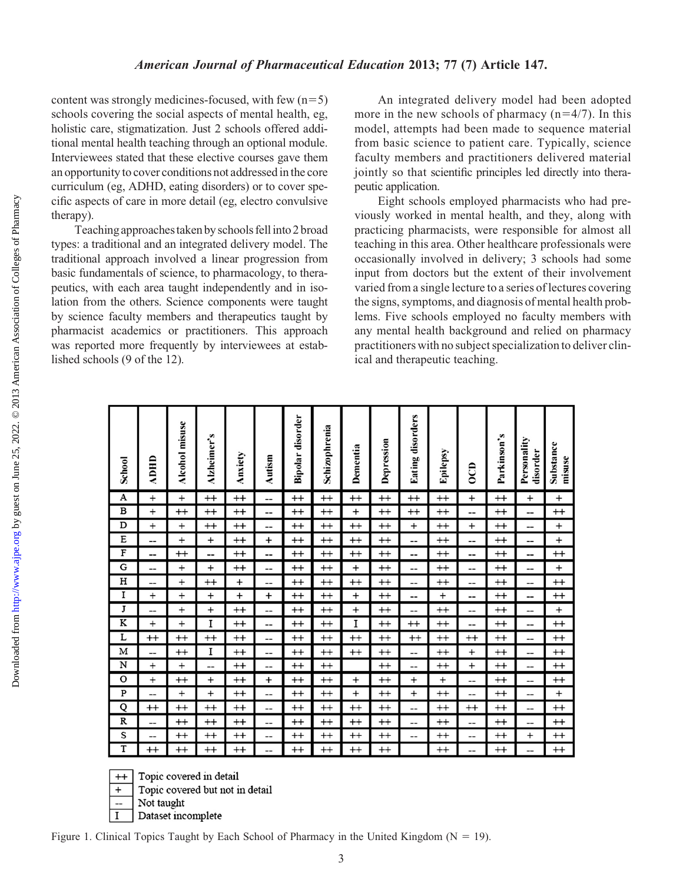content was strongly medicines-focused, with few  $(n=5)$ schools covering the social aspects of mental health, eg, holistic care, stigmatization. Just 2 schools offered additional mental health teaching through an optional module. Interviewees stated that these elective courses gave them an opportunity to cover conditions not addressed in the core curriculum (eg, ADHD, eating disorders) or to cover specific aspects of care in more detail (eg, electro convulsive therapy).

Teaching approachestaken by schools fellinto 2 broad types: a traditional and an integrated delivery model. The traditional approach involved a linear progression from basic fundamentals of science, to pharmacology, to therapeutics, with each area taught independently and in isolation from the others. Science components were taught by science faculty members and therapeutics taught by pharmacist academics or practitioners. This approach was reported more frequently by interviewees at established schools (9 of the 12).

An integrated delivery model had been adopted more in the new schools of pharmacy  $(n=4/7)$ . In this model, attempts had been made to sequence material from basic science to patient care. Typically, science faculty members and practitioners delivered material jointly so that scientific principles led directly into therapeutic application.

Eight schools employed pharmacists who had previously worked in mental health, and they, along with practicing pharmacists, were responsible for almost all teaching in this area. Other healthcare professionals were occasionally involved in delivery; 3 schools had some input from doctors but the extent of their involvement varied from a single lecture to a series of lectures covering the signs, symptoms, and diagnosis of mental health problems. Five schools employed no faculty members with any mental health background and relied on pharmacy practitioners with no subject specialization to deliver clinical and therapeutic teaching.

| School                  | <b>ADHID</b>             | <b>Alcohol</b> misuse | s<br>Alzheimer'          | Anxiety         | Autism    | Bipolar disorder | Schizophrenia | Dementia       | Depression      | Eating disorders | Epilepsy  | $\overline{0}$           | Parkinson's     | Personality<br>disorder | Substance<br>misuse |
|-------------------------|--------------------------|-----------------------|--------------------------|-----------------|-----------|------------------|---------------|----------------|-----------------|------------------|-----------|--------------------------|-----------------|-------------------------|---------------------|
| А                       | $\ddot{}$                | $^{+}$                | $^{++}$                  | $^{++}$         | --        | $^{++}$          | $^{++}$       | $^{++}$        | $^{++}$         | $^{++}$          | $^{++}$   | $\ddot{}$                | $^{++}$         | $\pmb{+}$               | $\ddot{}$           |
| $\overline{B}$          | $\ddot{}$                | $^{++}$               | $^{++}$                  | $^{++}$         | --        | $^{++}$          | $^{++}$       | $\ddot{}$      | $^{+}$          | $^{++}$          | $^{++}$   | --                       | $^{++}$         | --                      | $^{++}$             |
| $\mathbf D$             | $\ddot{}$                | $^{+}$                | $^{++}$                  | $^{++}$         | --        | $^{++}$          | $^{++}$       | $^{++}$        | $^{+}$          | $\ddot{}$        | $^{++}$   | $\ddot{}$                | $^{++}$         | --                      | $\pmb{+}$           |
| E                       | $\overline{\phantom{a}}$ | $\ddot{}$             | $\ddot{}$                | $^{++}$         | $\ddot{}$ | $^{\mathrm{+}}$  | $^{++}$       | $^{++}$        | $^{\mathrm{+}}$ | --               | $^{++}$   | --                       | $^{\mathrm{+}}$ | --                      | $\pmb{+}$           |
| $\overline{F}$          | --                       | $^{++}$               | --                       | $^{++}$         | --        | $^{++}$          | $^{++}$       | $^{++}$        | $^{++}$         | --               | $^{++}$   | --                       | $^{++}$         | --                      | $^{++}$             |
| G                       | --                       | $\ddot{}$             | $\ddot{}$                | $^{++}$         | --        | $^{++}$          | $^{++}$       | $\,{}^+$       | $^{++}$         | --               | $^{++}$   | --                       | $^{++}$         | --                      | $\ddot{}$           |
| н                       | --                       | $^{+}$                | $^{++}$                  | $\ddot{}$       | --        | $^{++}$          | $^{++}$       | $^{++}$        | $^{++}$         | --               | $^{++}$   | --                       | $^{++}$         | --                      | $^{++}$             |
| 1                       | $\ddot{}$                | $\ddot{}$             | $\ddot{}$                | $\div$          | $\pmb{+}$ | $^{++}$          | $^{++}$       | $\ddot{}$      | $^{++}$         | --               | $\ddot{}$ | --                       | $^{++}$         | --                      | $^{++}$             |
| J                       | --                       | $^{+}$                | $\ddot{}$                | $^{++}$         | --        | $^{++}$          | $^{++}$       | $\overline{+}$ | $^{+}$          | --               | $^{++}$   | $\overline{\phantom{a}}$ | $^{++}$         | --                      | $\ddot{}$           |
| $\overline{\mathbf{K}}$ | $^{+}$                   | $^{+}$                | I                        | $^{++}$         | --        | $^{++}$          | $^{++}$       | I              | $^{++}$         | $^{+}$           | $^{++}$   | --                       | $^{++}$         | --                      | $^{++}$             |
| L                       | $^{++}$                  | $^{+}$                | $^{++}$                  | $^{++}$         | --        | $^{++}$          | $^{++}$       | $^{++}$        | $^{++}$         | $^{++}$          | $^{++}$   | $^{++}$                  | $^{++}$         | --                      | $^{++}$             |
| М                       | --                       | $^{++}$               | I                        | $^{++}$         | --        | $^{\mathrm{+}}$  | $^{++}$       | $^{++}$        | $^{++}$         | --               | $^{++}$   | $\pmb{+}$                | $^{++}$         | --                      | $^{++}$             |
| $\overline{\text{N}}$   | $^{+}$                   | $\ddot{}$             | $\overline{\phantom{a}}$ | $^{++}$         | --        | $^{++}$          | $^{++}$       |                | $^{++}$         | --               | $^{++}$   | $\ddot{}$                | $^{++}$         | --                      | $^{++}$             |
| $\mathbf{o}$            | $\ddot{}$                | $^{++}$               | $\ddot{}$                | $^{++}$         | $\ddot{}$ | $^{\mathrm{++}}$ | $^{++}$       | $\ddot{}$      | $^{++}$         | $\ddot{}$        | $^{+}$    | --                       | $^{++}$         | --                      | $^{++}$             |
| $\overline{P}$          | --                       | $^{+}$                | $\ddot{}$                | $^{++}$         | --        | $^{++}$          | $^{++}$       | $\ddot{}$      | $^{+}$          | $^{+}$           | $^{++}$   | --                       | $^{++}$         | --                      | $\ddot{}$           |
| Q                       | $^{+}$                   | $^{+}$                | $^{++}$                  | $^{++}$         | --        | $^{++}$          | $^{++}$       | $^{++}$        | $^{++}$         | --               | $^{++}$   | $^{++}$                  | $^{++}$         | --                      | $^{++}$             |
| $\overline{\mathbf{R}}$ | $\overline{\phantom{a}}$ | $^{++}$               | $^{++}$                  | $^{\mathrm{+}}$ | --        | $^{++}$          | $^{++}$       | $^{++}$        | $^{++}$         | --               | $^{++}$   | --                       | $^{++}$         | --                      | $^{++}$             |
| S                       | --                       | $^{++}$               | $^{++}$                  | $^{++}$         | --        | $^{++}$          | $^{++}$       | $^{++}$        | $^{++}$         | --               | $^{++}$   | --                       | $^{++}$         | $\ddot{}$               | $^{++}$             |
| T                       | $^{++}$                  | $^{+}$                | $^{++}$                  | $^{++}$         | --        | $^{\mathrm{++}}$ | $^{++}$       | $^{++}$        | $^{++}$         |                  | $^{++}$   | --                       | $^{++}$         | --                      | $^{++}$             |

Topic covered in detail  $^{++}$ 

Topic covered but not in detail  $^{+}$ 

Not taught

Dataset incomplete

Figure 1. Clinical Topics Taught by Each School of Pharmacy in the United Kingdom ( $N = 19$ ).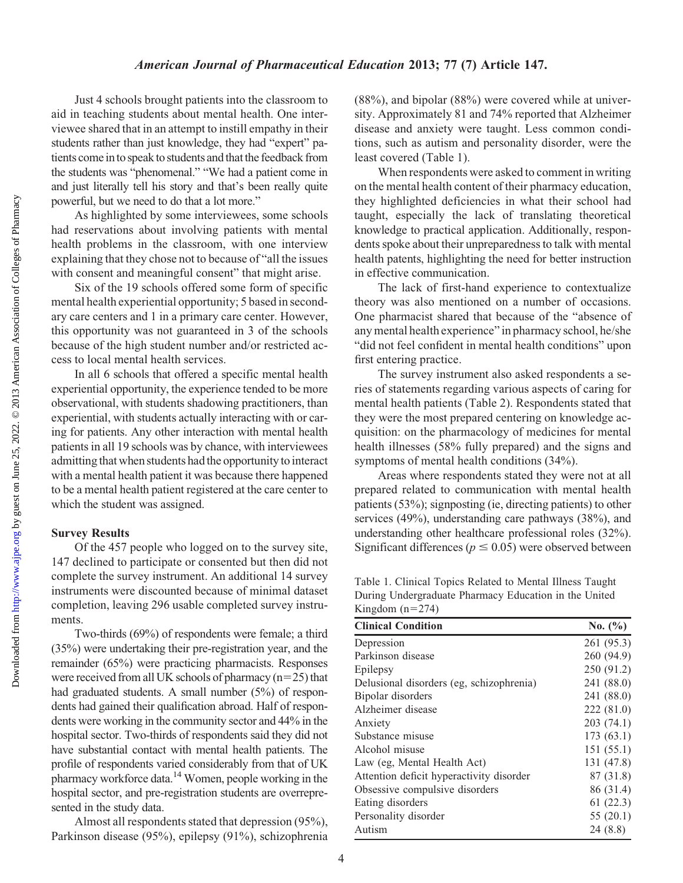Just 4 schools brought patients into the classroom to aid in teaching students about mental health. One interviewee shared that in an attempt to instill empathy in their students rather than just knowledge, they had "expert" patients come in to speak to students and that the feedback from the students was "phenomenal." "We had a patient come in and just literally tell his story and that's been really quite powerful, but we need to do that a lot more."

As highlighted by some interviewees, some schools had reservations about involving patients with mental health problems in the classroom, with one interview explaining that they chose not to because of "all the issues with consent and meaningful consent" that might arise.

Six of the 19 schools offered some form of specific mental health experiential opportunity; 5 based in secondary care centers and 1 in a primary care center. However, this opportunity was not guaranteed in 3 of the schools because of the high student number and/or restricted access to local mental health services.

In all 6 schools that offered a specific mental health experiential opportunity, the experience tended to be more observational, with students shadowing practitioners, than experiential, with students actually interacting with or caring for patients. Any other interaction with mental health patients in all 19 schools was by chance, with interviewees admitting that when students had the opportunity to interact with a mental health patient it was because there happened to be a mental health patient registered at the care center to which the student was assigned.

#### Survey Results

Of the 457 people who logged on to the survey site, 147 declined to participate or consented but then did not complete the survey instrument. An additional 14 survey instruments were discounted because of minimal dataset completion, leaving 296 usable completed survey instruments.

Two-thirds (69%) of respondents were female; a third (35%) were undertaking their pre-registration year, and the remainder (65%) were practicing pharmacists. Responses were received from all UK schools of pharmacy  $(n=25)$  that had graduated students. A small number (5%) of respondents had gained their qualification abroad. Half of respondents were working in the community sector and 44% in the hospital sector. Two-thirds of respondents said they did not have substantial contact with mental health patients. The profile of respondents varied considerably from that of UK pharmacy workforce data.<sup>14</sup> Women, people working in the hospital sector, and pre-registration students are overrepresented in the study data.

Almost all respondents stated that depression (95%), Parkinson disease (95%), epilepsy (91%), schizophrenia

(88%), and bipolar (88%) were covered while at university. Approximately 81 and 74% reported that Alzheimer disease and anxiety were taught. Less common conditions, such as autism and personality disorder, were the least covered (Table 1).

When respondents were asked to comment in writing on the mental health content of their pharmacy education, they highlighted deficiencies in what their school had taught, especially the lack of translating theoretical knowledge to practical application. Additionally, respondents spoke about their unpreparedness to talk with mental health patents, highlighting the need for better instruction in effective communication.

The lack of first-hand experience to contextualize theory was also mentioned on a number of occasions. One pharmacist shared that because of the "absence of any mental health experience" in pharmacy school, he/she "did not feel confident in mental health conditions" upon first entering practice.

The survey instrument also asked respondents a series of statements regarding various aspects of caring for mental health patients (Table 2). Respondents stated that they were the most prepared centering on knowledge acquisition: on the pharmacology of medicines for mental health illnesses (58% fully prepared) and the signs and symptoms of mental health conditions (34%).

Areas where respondents stated they were not at all prepared related to communication with mental health patients (53%); signposting (ie, directing patients) to other services (49%), understanding care pathways (38%), and understanding other healthcare professional roles (32%). Significant differences ( $p \le 0.05$ ) were observed between

Table 1. Clinical Topics Related to Mental Illness Taught During Undergraduate Pharmacy Education in the United Kingdom  $(n=274)$ 

| <b>Clinical Condition</b>                | No. $(\% )$ |
|------------------------------------------|-------------|
| Depression                               | 261 (95.3)  |
| Parkinson disease                        | 260 (94.9)  |
| Epilepsy                                 | 250 (91.2)  |
| Delusional disorders (eg, schizophrenia) | 241 (88.0)  |
| Bipolar disorders                        | 241 (88.0)  |
| Alzheimer disease                        | 222(81.0)   |
| Anxiety                                  | 203 (74.1)  |
| Substance misuse                         | 173(63.1)   |
| Alcohol misuse                           | 151(55.1)   |
| Law (eg, Mental Health Act)              | 131 (47.8)  |
| Attention deficit hyperactivity disorder | 87 (31.8)   |
| Obsessive compulsive disorders           | 86 (31.4)   |
| Eating disorders                         | 61 $(22.3)$ |
| Personality disorder                     | 55 $(20.1)$ |
| Autism                                   | 24 (8.8)    |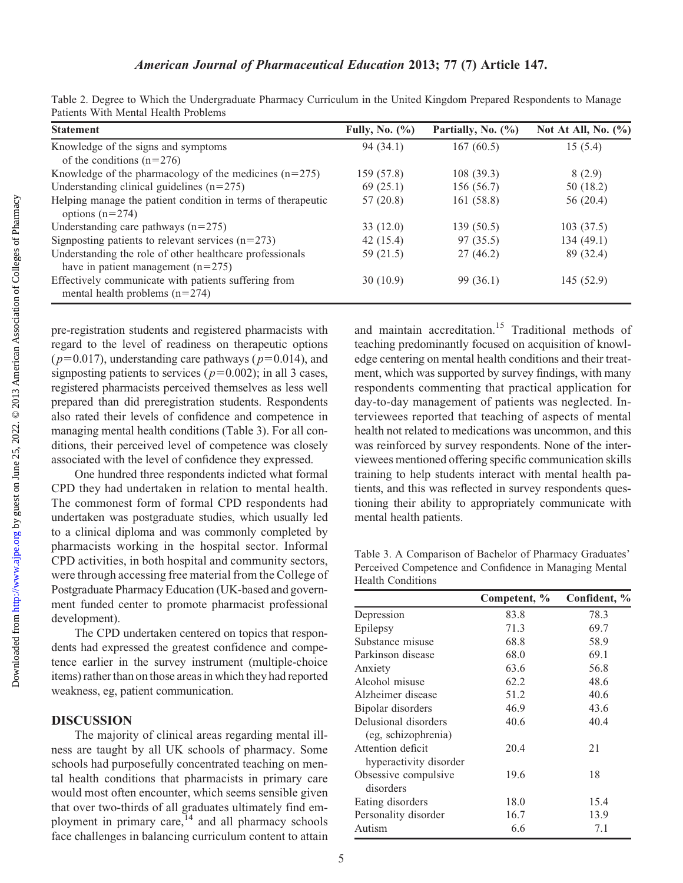Downloaded from

## American Journal of Pharmaceutical Education 2013; 77 (7) Article 147.

| Table 2. Degree to Which the Undergraduate Pharmacy Curriculum in the United Kingdom Prepared Respondents to Manage |  |  |  |
|---------------------------------------------------------------------------------------------------------------------|--|--|--|
| Patients With Mental Health Problems                                                                                |  |  |  |

| <b>Statement</b>                                             | Fully, No. $(\% )$ | Partially, No. (%) | Not At All, No. $(\% )$ |
|--------------------------------------------------------------|--------------------|--------------------|-------------------------|
| Knowledge of the signs and symptoms                          | 94(34.1)           | 167(60.5)          | 15(5.4)                 |
| of the conditions $(n=276)$                                  |                    |                    |                         |
| Knowledge of the pharmacology of the medicines $(n=275)$     | 159 (57.8)         | 108(39.3)          | 8(2.9)                  |
| Understanding clinical guidelines $(n=275)$                  | 69(25.1)           | 156(56.7)          | 50 (18.2)               |
| Helping manage the patient condition in terms of therapeutic | 57(20.8)           | 161 (58.8)         | 56(20.4)                |
| options $(n=274)$                                            |                    |                    |                         |
| Understanding care pathways $(n=275)$                        | 33(12.0)           | 139(50.5)          | 103(37.5)               |
| Signposting patients to relevant services $(n=273)$          | 42 (15.4)          | 97(35.5)           | 134(49.1)               |
| Understanding the role of other healthcare professionals     | 59 (21.5)          | 27 (46.2)          | 89 (32.4)               |
| have in patient management $(n=275)$                         |                    |                    |                         |
| Effectively communicate with patients suffering from         | 30(10.9)           | 99 (36.1)          | 145 (52.9)              |
| mental health problems $(n=274)$                             |                    |                    |                         |

pre-registration students and registered pharmacists with regard to the level of readiness on therapeutic options  $(p=0.017)$ , understanding care pathways ( $p=0.014$ ), and signposting patients to services ( $p=0.002$ ); in all 3 cases, registered pharmacists perceived themselves as less well prepared than did preregistration students. Respondents also rated their levels of confidence and competence in managing mental health conditions (Table 3). For all conditions, their perceived level of competence was closely associated with the level of confidence they expressed.

One hundred three respondents indicted what formal CPD they had undertaken in relation to mental health. The commonest form of formal CPD respondents had undertaken was postgraduate studies, which usually led to a clinical diploma and was commonly completed by pharmacists working in the hospital sector. Informal CPD activities, in both hospital and community sectors, were through accessing free material from the College of Postgraduate Pharmacy Education (UK-based and government funded center to promote pharmacist professional development).

The CPD undertaken centered on topics that respondents had expressed the greatest confidence and competence earlier in the survey instrument (multiple-choice items) rather than on those areas in which they had reported weakness, eg, patient communication.

## DISCUSSION

The majority of clinical areas regarding mental illness are taught by all UK schools of pharmacy. Some schools had purposefully concentrated teaching on mental health conditions that pharmacists in primary care would most often encounter, which seems sensible given that over two-thirds of all graduates ultimately find employment in primary care, $14$  and all pharmacy schools face challenges in balancing curriculum content to attain and maintain accreditation.<sup>15</sup> Traditional methods of teaching predominantly focused on acquisition of knowledge centering on mental health conditions and their treatment, which was supported by survey findings, with many respondents commenting that practical application for day-to-day management of patients was neglected. Interviewees reported that teaching of aspects of mental health not related to medications was uncommon, and this was reinforced by survey respondents. None of the interviewees mentioned offering specific communication skills training to help students interact with mental health patients, and this was reflected in survey respondents questioning their ability to appropriately communicate with mental health patients.

| Table 3. A Comparison of Bachelor of Pharmacy Graduates' |
|----------------------------------------------------------|
| Perceived Competence and Confidence in Managing Mental   |
| <b>Health Conditions</b>                                 |

|                                             | Competent, % | Confident, % |
|---------------------------------------------|--------------|--------------|
| Depression                                  | 83.8         | 78.3         |
| Epilepsy                                    | 71.3         | 69.7         |
| Substance misuse                            | 68.8         | 58.9         |
| Parkinson disease                           | 68.0         | 69.1         |
| Anxiety                                     | 63.6         | 56.8         |
| Alcohol misuse                              | 62.2         | 48.6         |
| Alzheimer disease                           | 51.2         | 40.6         |
| Bipolar disorders                           | 46.9         | 43.6         |
| Delusional disorders<br>(eg. schizophrenia) | 40.6         | 40.4         |
| Attention deficit<br>hyperactivity disorder | 20.4         | 21           |
| Obsessive compulsive<br>disorders           | 19.6         | 18           |
| Eating disorders                            | 18.0         | 15.4         |
| Personality disorder                        | 16.7         | 13.9         |
| Autism                                      | 6.6          | 7.1          |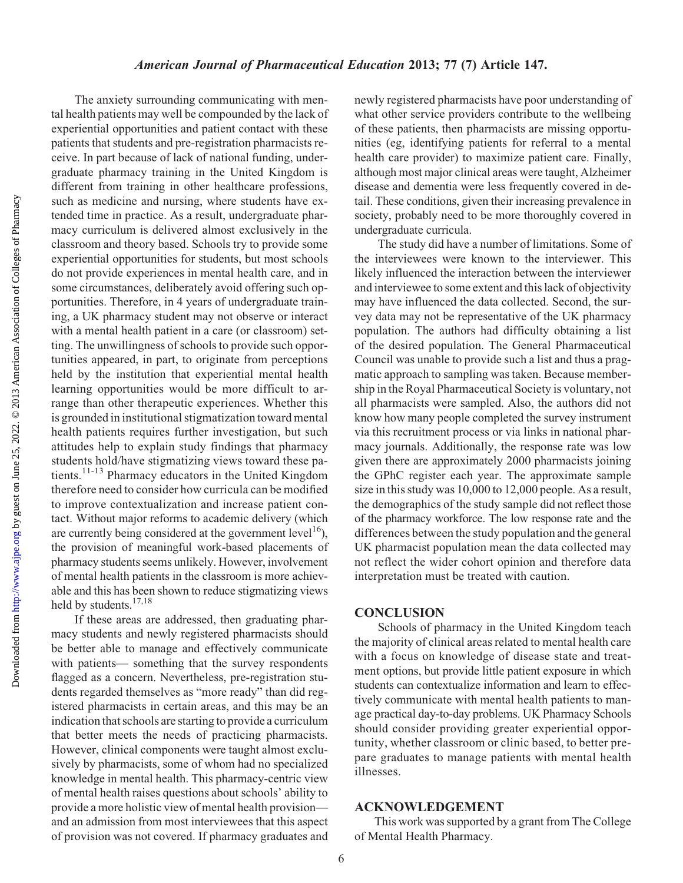The anxiety surrounding communicating with mental health patients may well be compounded by the lack of experiential opportunities and patient contact with these patients that students and pre-registration pharmacists receive. In part because of lack of national funding, undergraduate pharmacy training in the United Kingdom is different from training in other healthcare professions, such as medicine and nursing, where students have extended time in practice. As a result, undergraduate pharmacy curriculum is delivered almost exclusively in the classroom and theory based. Schools try to provide some experiential opportunities for students, but most schools do not provide experiences in mental health care, and in some circumstances, deliberately avoid offering such opportunities. Therefore, in 4 years of undergraduate training, a UK pharmacy student may not observe or interact with a mental health patient in a care (or classroom) setting. The unwillingness of schools to provide such opportunities appeared, in part, to originate from perceptions held by the institution that experiential mental health learning opportunities would be more difficult to arrange than other therapeutic experiences. Whether this is grounded in institutional stigmatization toward mental health patients requires further investigation, but such attitudes help to explain study findings that pharmacy students hold/have stigmatizing views toward these patients.11-13 Pharmacy educators in the United Kingdom therefore need to consider how curricula can be modified to improve contextualization and increase patient contact. Without major reforms to academic delivery (which are currently being considered at the government level<sup>16</sup>), the provision of meaningful work-based placements of pharmacy students seems unlikely. However, involvement of mental health patients in the classroom is more achievable and this has been shown to reduce stigmatizing views held by students.<sup>17,18</sup>

If these areas are addressed, then graduating pharmacy students and newly registered pharmacists should be better able to manage and effectively communicate with patients— something that the survey respondents flagged as a concern. Nevertheless, pre-registration students regarded themselves as "more ready" than did registered pharmacists in certain areas, and this may be an indication that schools are starting to provide a curriculum that better meets the needs of practicing pharmacists. However, clinical components were taught almost exclusively by pharmacists, some of whom had no specialized knowledge in mental health. This pharmacy-centric view of mental health raises questions about schools' ability to provide a more holistic view of mental health provision and an admission from most interviewees that this aspect of provision was not covered. If pharmacy graduates and newly registered pharmacists have poor understanding of what other service providers contribute to the wellbeing of these patients, then pharmacists are missing opportunities (eg, identifying patients for referral to a mental health care provider) to maximize patient care. Finally, although most major clinical areas were taught, Alzheimer disease and dementia were less frequently covered in detail. These conditions, given their increasing prevalence in society, probably need to be more thoroughly covered in undergraduate curricula.

The study did have a number of limitations. Some of the interviewees were known to the interviewer. This likely influenced the interaction between the interviewer and interviewee to some extent and this lack of objectivity may have influenced the data collected. Second, the survey data may not be representative of the UK pharmacy population. The authors had difficulty obtaining a list of the desired population. The General Pharmaceutical Council was unable to provide such a list and thus a pragmatic approach to sampling was taken. Because membership in the Royal Pharmaceutical Society is voluntary, not all pharmacists were sampled. Also, the authors did not know how many people completed the survey instrument via this recruitment process or via links in national pharmacy journals. Additionally, the response rate was low given there are approximately 2000 pharmacists joining the GPhC register each year. The approximate sample size in this study was 10,000 to 12,000 people. As a result, the demographics of the study sample did not reflect those of the pharmacy workforce. The low response rate and the differences between the study population and the general UK pharmacist population mean the data collected may not reflect the wider cohort opinion and therefore data interpretation must be treated with caution.

#### **CONCLUSION**

Schools of pharmacy in the United Kingdom teach the majority of clinical areas related to mental health care with a focus on knowledge of disease state and treatment options, but provide little patient exposure in which students can contextualize information and learn to effectively communicate with mental health patients to manage practical day-to-day problems. UK Pharmacy Schools should consider providing greater experiential opportunity, whether classroom or clinic based, to better prepare graduates to manage patients with mental health illnesses.

#### ACKNOWLEDGEMENT

This work was supported by a grant from The College of Mental Health Pharmacy.